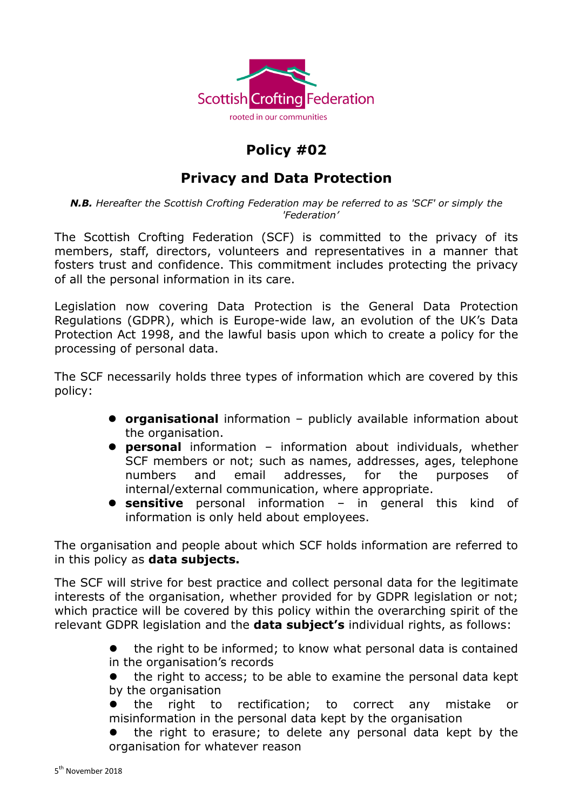

## **Policy #02**

## **Privacy and Data Protection**

*N.B. Hereafter the Scottish Crofting Federation may be referred to as 'SCF' or simply the 'Federation'*

The Scottish Crofting Federation (SCF) is committed to the privacy of its members, staff, directors, volunteers and representatives in a manner that fosters trust and confidence. This commitment includes protecting the privacy of all the personal information in its care.

Legislation now covering Data Protection is the General Data Protection Regulations (GDPR), which is Europe-wide law, an evolution of the UK's Data Protection Act 1998, and the lawful basis upon which to create a policy for the processing of personal data.

The SCF necessarily holds three types of information which are covered by this policy:

- **organisational** information publicly available information about the organisation.
- **personal** information information about individuals, whether SCF members or not; such as names, addresses, ages, telephone numbers and email addresses, for the purposes of internal/external communication, where appropriate.
- **sensitive** personal information in general this kind of information is only held about employees.

The organisation and people about which SCF holds information are referred to in this policy as **data subjects.**

The SCF will strive for best practice and collect personal data for the legitimate interests of the organisation, whether provided for by GDPR legislation or not; which practice will be covered by this policy within the overarching spirit of the relevant GDPR legislation and the **data subject's** individual rights, as follows:

> the right to be informed; to know what personal data is contained in the organisation's records

> the right to access; to be able to examine the personal data kept by the organisation

- the right to rectification; to correct any mistake or misinformation in the personal data kept by the organisation
- the right to erasure; to delete any personal data kept by the organisation for whatever reason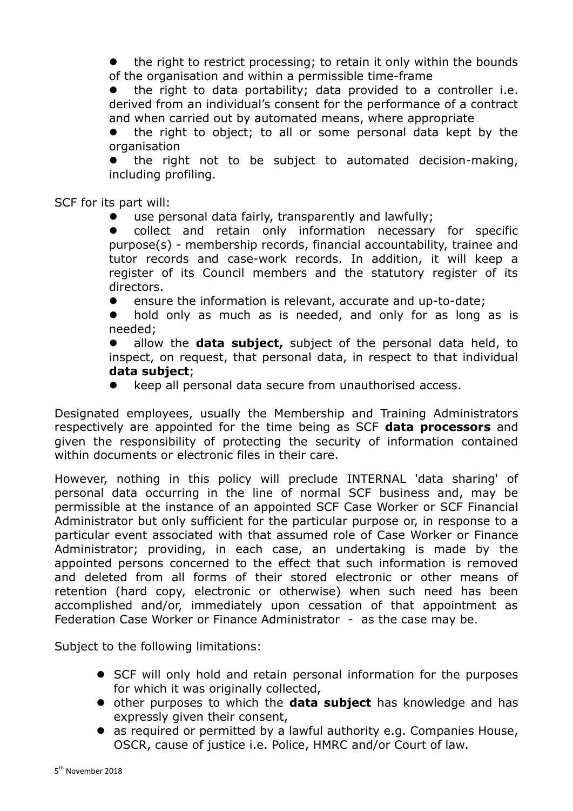the right to restrict processing; to retain it only within the bounds of the organisation and within a permissible time-frame

 the right to data portability; data provided to a controller i.e. derived from an individual's consent for the performance of a contract and when carried out by automated means, where appropriate

 the right to object; to all or some personal data kept by the organisation

 the right not to be subject to automated decision-making, including profiling.

SCF for its part will:

use personal data fairly, transparently and lawfully;

 collect and retain only information necessary for specific purpose(s) - membership records, financial accountability, trainee and tutor records and case-work records. In addition, it will keep a register of its Council members and the statutory register of its directors.

ensure the information is relevant, accurate and up-to-date;

• hold only as much as is needed, and only for as long as is needed;

 allow the **data subject,** subject of the personal data held, to inspect, on request, that personal data, in respect to that individual **data subject**;

keep all personal data secure from unauthorised access.

Designated employees, usually the Membership and Training Administrators respectively are appointed for the time being as SCF **data processors** and given the responsibility of protecting the security of information contained within documents or electronic files in their care.

However, nothing in this policy will preclude INTERNAL 'data sharing' of personal data occurring in the line of normal SCF business and, may be permissible at the instance of an appointed SCF Case Worker or SCF Financial Administrator but only sufficient for the particular purpose or, in response to a particular event associated with that assumed role of Case Worker or Finance Administrator; providing, in each case, an undertaking is made by the appointed persons concerned to the effect that such information is removed and deleted from all forms of their stored electronic or other means of retention (hard copy, electronic or otherwise) when such need has been accomplished and/or, immediately upon cessation of that appointment as Federation Case Worker or Finance Administrator - as the case may be.

Subject to the following limitations:

- SCF will only hold and retain personal information for the purposes for which it was originally collected,
- **•** other purposes to which the **data subject** has knowledge and has expressly given their consent,
- as required or permitted by a lawful authority e.g. Companies House, OSCR, cause of justice i.e. Police, HMRC and/or Court of law.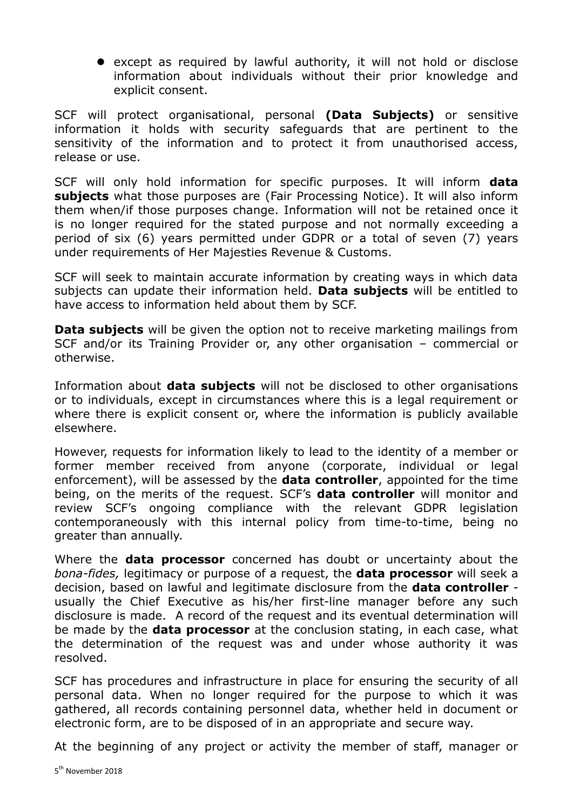• except as required by lawful authority, it will not hold or disclose information about individuals without their prior knowledge and explicit consent.

SCF will protect organisational, personal **(Data Subjects)** or sensitive information it holds with security safeguards that are pertinent to the sensitivity of the information and to protect it from unauthorised access, release or use.

SCF will only hold information for specific purposes. It will inform **data subjects** what those purposes are (Fair Processing Notice). It will also inform them when/if those purposes change. Information will not be retained once it is no longer required for the stated purpose and not normally exceeding a period of six (6) years permitted under GDPR or a total of seven (7) years under requirements of Her Majesties Revenue & Customs.

SCF will seek to maintain accurate information by creating ways in which data subjects can update their information held. **Data subjects** will be entitled to have access to information held about them by SCF.

**Data subjects** will be given the option not to receive marketing mailings from SCF and/or its Training Provider or, any other organisation – commercial or otherwise.

Information about **data subjects** will not be disclosed to other organisations or to individuals, except in circumstances where this is a legal requirement or where there is explicit consent or, where the information is publicly available elsewhere.

However, requests for information likely to lead to the identity of a member or former member received from anyone (corporate, individual or legal enforcement), will be assessed by the **data controller**, appointed for the time being, on the merits of the request. SCF's **data controller** will monitor and review SCF's ongoing compliance with the relevant GDPR legislation contemporaneously with this internal policy from time-to-time, being no greater than annually.

Where the **data processor** concerned has doubt or uncertainty about the *bona-fides,* legitimacy or purpose of a request, the **data processor** will seek a decision, based on lawful and legitimate disclosure from the **data controller** usually the Chief Executive as his/her first-line manager before any such disclosure is made. A record of the request and its eventual determination will be made by the **data processor** at the conclusion stating, in each case, what the determination of the request was and under whose authority it was resolved.

SCF has procedures and infrastructure in place for ensuring the security of all personal data. When no longer required for the purpose to which it was gathered, all records containing personnel data, whether held in document or electronic form, are to be disposed of in an appropriate and secure way.

At the beginning of any project or activity the member of staff, manager or